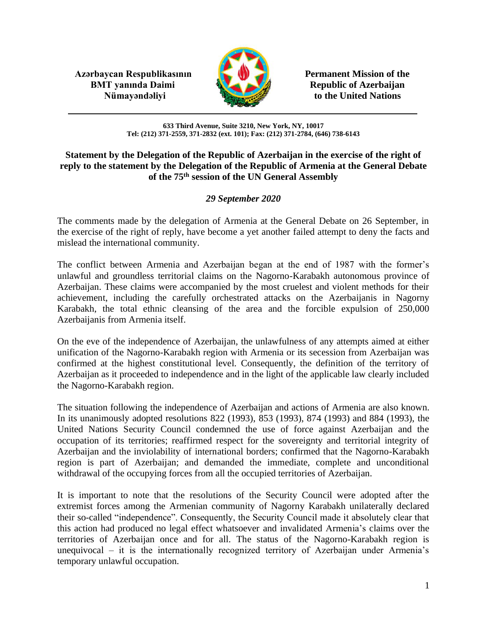**Azərbaycan Respublikasının Permanent Mission of the BMT yanında Daimi Republic of Azerbaijan** 



**Nümayəndəliyi** to the United Nations

**633 Third Avenue, Suite 3210, New York, NY, 10017 Tel: (212) 371-2559, 371-2832 (ext. 101); Fax: (212) 371-2784, (646) 738-6143**

## **Statement by the Delegation of the Republic of Azerbaijan in the exercise of the right of reply to the statement by the Delegation of the Republic of Armenia at the General Debate of the 75th session of the UN General Assembly**

## *29 September 2020*

The comments made by the delegation of Armenia at the General Debate on 26 September, in the exercise of the right of reply, have become a yet another failed attempt to deny the facts and mislead the international community.

The conflict between Armenia and Azerbaijan began at the end of 1987 with the former's unlawful and groundless territorial claims on the Nagorno-Karabakh autonomous province of Azerbaijan. These claims were accompanied by the most cruelest and violent methods for their achievement, including the carefully orchestrated attacks on the Azerbaijanis in Nagorny Karabakh, the total ethnic cleansing of the area and the forcible expulsion of 250,000 Azerbaijanis from Armenia itself.

On the eve of the independence of Azerbaijan, the unlawfulness of any attempts aimed at either unification of the Nagorno-Karabakh region with Armenia or its secession from Azerbaijan was confirmed at the highest constitutional level. Consequently, the definition of the territory of Azerbaijan as it proceeded to independence and in the light of the applicable law clearly included the Nagorno-Karabakh region.

The situation following the independence of Azerbaijan and actions of Armenia are also known. In its unanimously adopted resolutions 822 (1993), 853 (1993), 874 (1993) and 884 (1993), the United Nations Security Council condemned the use of force against Azerbaijan and the occupation of its territories; reaffirmed respect for the sovereignty and territorial integrity of Azerbaijan and the inviolability of international borders; confirmed that the Nagorno-Karabakh region is part of Azerbaijan; and demanded the immediate, complete and unconditional withdrawal of the occupying forces from all the occupied territories of Azerbaijan.

It is important to note that the resolutions of the Security Council were adopted after the extremist forces among the Armenian community of Nagorny Karabakh unilaterally declared their so-called "independence". Consequently, the Security Council made it absolutely clear that this action had produced no legal effect whatsoever and invalidated Armenia's claims over the territories of Azerbaijan once and for all. The status of the Nagorno-Karabakh region is unequivocal – it is the internationally recognized territory of Azerbaijan under Armenia's temporary unlawful occupation.